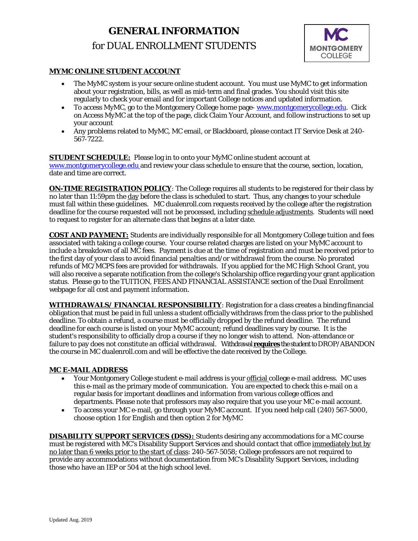# **GENERAL INFORMATION** for DUAL ENROLLMENT STUDENTS



# **MYMC ONLINE STUDENT ACCOUNT**

- The MyMC system is your secure online student account. You must use MyMC to get information about your registration, bills, as well as mid-term and final grades. You should visit this site regularly to check your email and for important College notices and updated information.
- To access MyMC, go to the Montgomery College home page- [www.montgomerycollege.edu.](http://www.montgomerycollege.edu/) Click on *Access MyMC* at the top of the page, click Claim Your Account, and follow instructions to set up your account
- Any problems related to MyMC, MC email, or Blackboard, please contact IT Service Desk at 240- 567-7222.

#### **STUDENT SCHEDULE:** Please log in to onto your MyMC online student account at [www.montgomerycollege.edu](http://www.montgomerycollege.edu/) and review your class schedule to ensure that the course, section, location, date and time are correct.

**ON-TIME REGISTRATION POLICY**: The College requires all students to be registered for their class by no later than 11:59pm the day before the class is scheduled to start. Thus, any changes to your schedule must fall within these guidelines. MC dualenroll.com requests received by the college after the registration deadline for the course requested will not be processed, including schedule adjustments. Students will need to request to register for an alternate class that begins at a later date.

**COST AND PAYMENT:** Students are individually responsible for all Montgomery College tuition and fees associated with taking a college course. Your course related charges are listed on your MyMC account to include a breakdown of all MC fees. Payment is due at the time of registration and must be received prior to the first day of your class to avoid financial penalties and/or withdrawal from the course. No prorated refunds of MC/MCPS fees are provided for withdrawals. If you applied for the MC High School Grant, you will also receive a separate notification from the college's Scholarship office regarding your grant application status. Please go to the *TUITION, FEES AND FINANCIAL ASSISTANCE s*ection of the Dual Enrollment webpage for all cost and payment information.

**WITHDRAWALS/ FINANCIAL RESPONSIBILITY**: Registration for a class creates a binding financial obligation that must be paid in full unless a student officially withdraws from the class prior to the published deadline. To obtain a refund, a course must be officially dropped by the refund deadline. The refund deadline for each course is listed on your MyMC account; refund deadlines vary by course. It is the student's responsibility to officially drop a course if they no longer wish to attend. Non-attendance or failure to pay does not constitute an official withdrawal. Withdrawal **requires**the student to DROP/ABANDON the course in MC dualenroll.com and will be effective the date received by the College.

## **MC E-MAIL ADDRESS**

- Your Montgomery College student e-mail address is your official college e-mail address. MC uses this e-mail as the primary mode of communication. You are expected to check this e-mail on a regular basis for important deadlines and information from various college offices and departments. Please note that professors may also require that you use your MC e-mail account.
- To access your MC e-mail, go through your MyMC account. If you need help call (240) 567-5000, choose option 1 for English and then option 2 for MyMC

**DISABILITY SUPPORT SERVICES (DSS):** Students desiring any accommodations for a MC course must be registered with MC's Disability Support Services and should contact that office immediately but by no later than 6 weeks prior to the start of class: 240-567-5058; College professors are not required to provide any accommodations without documentation from MC's Disability Support Services, including those who have an IEP or 504 at the high school level.